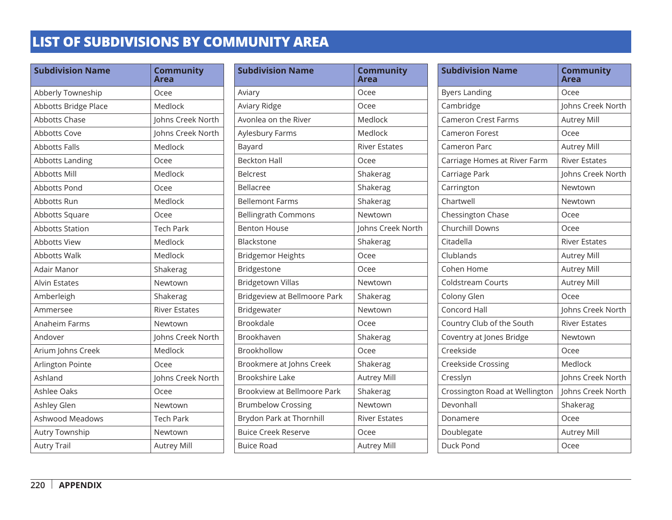| <b>Subdivision Name</b> | <b>Community</b><br><b>Area</b> |
|-------------------------|---------------------------------|
| Abberly Towneship       | Ocee                            |
| Abbotts Bridge Place    | Medlock                         |
| <b>Abbotts Chase</b>    | Johns Creek North               |
| <b>Abbotts Cove</b>     | Johns Creek North               |
| <b>Abbotts Falls</b>    | Medlock                         |
| Abbotts Landing         | Ocee                            |
| <b>Abbotts Mill</b>     | Medlock                         |
| Abbotts Pond            | Ocee                            |
| Abbotts Run             | Medlock                         |
| Abbotts Square          | Ocee                            |
| <b>Abbotts Station</b>  | <b>Tech Park</b>                |
| <b>Abbotts View</b>     | Medlock                         |
| <b>Abbotts Walk</b>     | Medlock                         |
| Adair Manor             | Shakerag                        |
| <b>Alvin Estates</b>    | Newtown                         |
| Amberleigh              | Shakerag                        |
| Ammersee                | <b>River Estates</b>            |
| Anaheim Farms           | Newtown                         |
| Andover                 | Johns Creek North               |
| Arium Johns Creek       | Medlock                         |
| Arlington Pointe        | Ocee                            |
| Ashland                 | Johns Creek North               |
| Ashlee Oaks             | Ocee                            |
| Ashley Glen             | Newtown                         |
| Ashwood Meadows         | <b>Tech Park</b>                |
| Autry Township          | Newtown                         |
| <b>Autry Trail</b>      | <b>Autrey Mill</b>              |

| <b>Subdivision Name</b>      | <b>Community</b><br>Area |
|------------------------------|--------------------------|
| Aviary                       | Ocee                     |
| Aviary Ridge                 | Ocee                     |
| Avonlea on the River         | Medlock                  |
| Aylesbury Farms              | Medlock                  |
| Bayard                       | <b>River Estates</b>     |
| <b>Beckton Hall</b>          | Ocee                     |
| <b>Belcrest</b>              | Shakerag                 |
| Bellacree                    | Shakerag                 |
| <b>Bellemont Farms</b>       | Shakerag                 |
| <b>Bellingrath Commons</b>   | Newtown                  |
| <b>Benton House</b>          | Johns Creek North        |
| Blackstone                   | Shakerag                 |
| <b>Bridgemor Heights</b>     | Ocee                     |
| Bridgestone                  | Ocee                     |
| <b>Bridgetown Villas</b>     | Newtown                  |
| Bridgeview at Bellmoore Park | Shakerag                 |
| Bridgewater                  | Newtown                  |
| <b>Brookdale</b>             | Ocee                     |
| Brookhaven                   | Shakerag                 |
| Brookhollow                  | Ocee                     |
| Brookmere at Johns Creek     | Shakerag                 |
| <b>Brookshire Lake</b>       | <b>Autrey Mill</b>       |
| Brookview at Bellmoore Park  | Shakerag                 |
| <b>Brumbelow Crossing</b>    | Newtown                  |
| Brydon Park at Thornhill     | <b>River Estates</b>     |
| <b>Buice Creek Reserve</b>   | Ocee                     |
| <b>Buice Road</b>            | <b>Autrey Mill</b>       |

| <b>Subdivision Name</b>        | <b>Community</b><br>Area |
|--------------------------------|--------------------------|
| <b>Byers Landing</b>           | Ocee                     |
| Cambridge                      | Johns Creek North        |
| <b>Cameron Crest Farms</b>     | <b>Autrey Mill</b>       |
| Cameron Forest                 | Ocee                     |
| Cameron Parc                   | <b>Autrey Mill</b>       |
| Carriage Homes at River Farm   | <b>River Estates</b>     |
| Carriage Park                  | Johns Creek North        |
| Carrington                     | Newtown                  |
| Chartwell                      | Newtown                  |
| Chessington Chase              | Ocee                     |
| <b>Churchill Downs</b>         | Ocee                     |
| Citadella                      | <b>River Estates</b>     |
| Clublands                      | <b>Autrey Mill</b>       |
| Cohen Home                     | <b>Autrey Mill</b>       |
| Coldstream Courts              | <b>Autrey Mill</b>       |
| Colony Glen                    | Ocee                     |
| Concord Hall                   | Johns Creek North        |
| Country Club of the South      | <b>River Estates</b>     |
| Coventry at Jones Bridge       | Newtown                  |
| Creekside                      | Ocee                     |
| <b>Creekside Crossing</b>      | Medlock                  |
| Cresslyn                       | Johns Creek North        |
| Crossington Road at Wellington | Johns Creek North        |
| Devonhall                      | Shakerag                 |
| Donamere                       | Ocee                     |
| Doublegate                     | <b>Autrey Mill</b>       |
| Duck Pond                      | Ocee                     |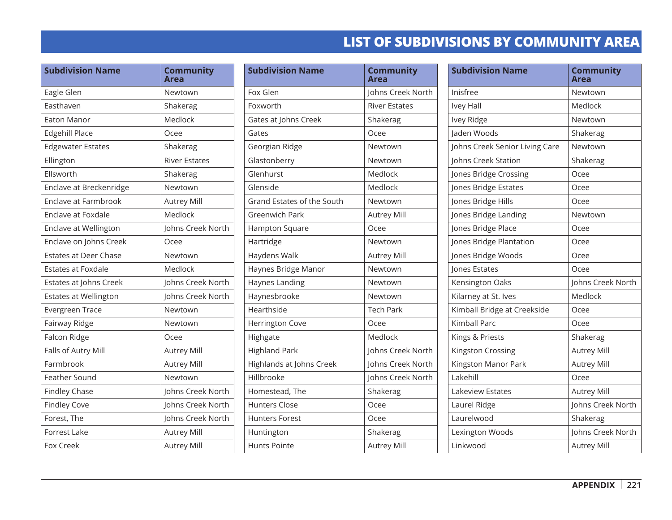| <b>Subdivision Name</b>      | <b>Community</b><br>Area |
|------------------------------|--------------------------|
| Eagle Glen                   | Newtown                  |
| Easthaven                    | Shakerag                 |
| <b>Eaton Manor</b>           | Medlock                  |
| <b>Edgehill Place</b>        | Ocee                     |
| <b>Edgewater Estates</b>     | Shakerag                 |
| Ellington                    | <b>River Estates</b>     |
| Ellsworth                    | Shakerag                 |
| Enclave at Breckenridge      | Newtown                  |
| <b>Enclave at Farmbrook</b>  | <b>Autrey Mill</b>       |
| Enclave at Foxdale           | Medlock                  |
| Enclave at Wellington        | Johns Creek North        |
| Enclave on Johns Creek       | Ocee                     |
| <b>Estates at Deer Chase</b> | Newtown                  |
| <b>Estates at Foxdale</b>    | Medlock                  |
| Estates at Johns Creek       | Johns Creek North        |
| <b>Estates at Wellington</b> | Johns Creek North        |
| <b>Evergreen Trace</b>       | Newtown                  |
| Fairway Ridge                | Newtown                  |
| Falcon Ridge                 | Ocee                     |
| Falls of Autry Mill          | <b>Autrey Mill</b>       |
| Farmbrook                    | <b>Autrey Mill</b>       |
| <b>Feather Sound</b>         | Newtown                  |
| <b>Findley Chase</b>         | Johns Creek North        |
| <b>Findley Cove</b>          | Johns Creek North        |
| Forest, The                  | Johns Creek North        |
| <b>Forrest Lake</b>          | <b>Autrey Mill</b>       |
| Fox Creek                    | <b>Autrey Mill</b>       |

| <b>Subdivision Name</b>    | <b>Community</b><br>Area |
|----------------------------|--------------------------|
| Fox Glen                   | Johns Creek North        |
| Foxworth                   | <b>River Estates</b>     |
| Gates at Johns Creek       | Shakerag                 |
| Gates                      | Ocee                     |
| Georgian Ridge             | Newtown                  |
| Glastonberry               | Newtown                  |
| Glenhurst                  | Medlock                  |
| Glenside                   | Medlock                  |
| Grand Estates of the South | Newtown                  |
| <b>Greenwich Park</b>      | <b>Autrey Mill</b>       |
| Hampton Square             | Ocee                     |
| Hartridge                  | Newtown                  |
| Haydens Walk               | <b>Autrey Mill</b>       |
| Haynes Bridge Manor        | Newtown                  |
| Haynes Landing             | Newtown                  |
| Haynesbrooke               | Newtown                  |
| Hearthside                 | <b>Tech Park</b>         |
| <b>Herrington Cove</b>     | Ocee                     |
| Highgate                   | Medlock                  |
| <b>Highland Park</b>       | Johns Creek North        |
| Highlands at Johns Creek   | Johns Creek North        |
| Hillbrooke                 | Johns Creek North        |
| Homestead, The             | Shakerag                 |
| <b>Hunters Close</b>       | Ocee                     |
| <b>Hunters Forest</b>      | Ocee                     |
| Huntington                 | Shakerag                 |
| Hunts Pointe               | <b>Autrey Mill</b>       |

| <b>Subdivision Name</b>        | <b>Community</b><br>Area |
|--------------------------------|--------------------------|
| Inisfree                       | Newtown                  |
| Ivey Hall                      | Medlock                  |
| Ivey Ridge                     | Newtown                  |
| Jaden Woods                    | Shakerag                 |
| Johns Creek Senior Living Care | Newtown                  |
| Johns Creek Station            | Shakerag                 |
| Jones Bridge Crossing          | Ocee                     |
| Jones Bridge Estates           | Ocee                     |
| Jones Bridge Hills             | Ocee                     |
| Jones Bridge Landing           | Newtown                  |
| Jones Bridge Place             | Ocee                     |
| Jones Bridge Plantation        | Ocee                     |
| Jones Bridge Woods             | Ocee                     |
| Jones Estates                  | Ocee                     |
| Kensington Oaks                | Johns Creek North        |
| Kilarney at St. Ives           | Medlock                  |
| Kimball Bridge at Creekside    | Ocee                     |
| <b>Kimball Parc</b>            | Ocee                     |
| Kings & Priests                | Shakerag                 |
| Kingston Crossing              | <b>Autrey Mill</b>       |
| Kingston Manor Park            | <b>Autrey Mill</b>       |
| Lakehill                       | Ocee                     |
| Lakeview Estates               | <b>Autrey Mill</b>       |
| Laurel Ridge                   | Johns Creek North        |
| Laurelwood                     | Shakerag                 |
| Lexington Woods                | Johns Creek North        |
| Linkwood                       | <b>Autrey Mill</b>       |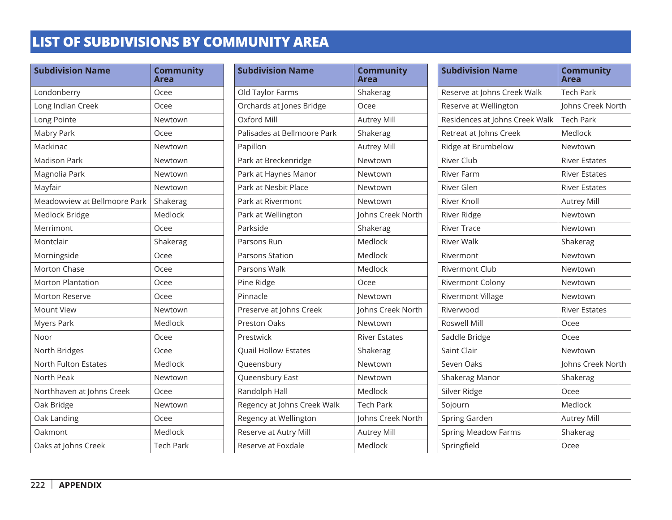| <b>Subdivision Name</b>      | <b>Community</b><br>Area |
|------------------------------|--------------------------|
| Londonberry                  | Ocee                     |
| Long Indian Creek            | Ocee                     |
| Long Pointe                  | Newtown                  |
| Mabry Park                   | Ocee                     |
| Mackinac                     | Newtown                  |
| <b>Madison Park</b>          | Newtown                  |
| Magnolia Park                | Newtown                  |
| Mayfair                      | Newtown                  |
| Meadowview at Bellmoore Park | Shakerag                 |
| Medlock Bridge               | Medlock                  |
| Merrimont                    | Ocee                     |
| Montclair                    | Shakerag                 |
| Morningside                  | Ocee                     |
| <b>Morton Chase</b>          | Ocee                     |
| <b>Morton Plantation</b>     | Ocee                     |
| <b>Morton Reserve</b>        | Ocee                     |
| <b>Mount View</b>            | Newtown                  |
| <b>Myers Park</b>            | Medlock                  |
| Noor                         | Ocee                     |
| North Bridges                | Ocee                     |
| North Fulton Estates         | Medlock                  |
| North Peak                   | Newtown                  |
| Northhaven at Johns Creek    | Ocee                     |
| Oak Bridge                   | Newtown                  |
| Oak Landing                  | Ocee                     |
| Oakmont                      | Medlock                  |
| Oaks at Johns Creek          | <b>Tech Park</b>         |

| <b>Subdivision Name</b>     | <b>Community</b><br>Area |
|-----------------------------|--------------------------|
| Old Taylor Farms            | Shakerag                 |
| Orchards at Jones Bridge    | Ocee                     |
| Oxford Mill                 | <b>Autrey Mill</b>       |
| Palisades at Bellmoore Park | Shakerag                 |
| Papillon                    | <b>Autrey Mill</b>       |
| Park at Breckenridge        | Newtown                  |
| Park at Haynes Manor        | Newtown                  |
| Park at Nesbit Place        | Newtown                  |
| Park at Rivermont           | Newtown                  |
| Park at Wellington          | Johns Creek North        |
| Parkside                    | Shakerag                 |
| Parsons Run                 | Medlock                  |
| Parsons Station             | Medlock                  |
| Parsons Walk                | Medlock                  |
| Pine Ridge                  | Ocee                     |
| Pinnacle                    | Newtown                  |
| Preserve at Johns Creek     | Johns Creek North        |
| <b>Preston Oaks</b>         | Newtown                  |
| Prestwick                   | <b>River Estates</b>     |
| <b>Quail Hollow Estates</b> | Shakerag                 |
| Queensbury                  | Newtown                  |
| Queensbury East             | Newtown                  |
| Randolph Hall               | Medlock                  |
| Regency at Johns Creek Walk | <b>Tech Park</b>         |
| Regency at Wellington       | Johns Creek North        |
| Reserve at Autry Mill       | <b>Autrey Mill</b>       |
| Reserve at Foxdale          | Medlock                  |

| <b>Subdivision Name</b>        | <b>Community</b><br>Area |
|--------------------------------|--------------------------|
| Reserve at Johns Creek Walk    | <b>Tech Park</b>         |
| Reserve at Wellington          | Johns Creek North        |
| Residences at Johns Creek Walk | <b>Tech Park</b>         |
| Retreat at Johns Creek         | Medlock                  |
| Ridge at Brumbelow             | Newtown                  |
| <b>River Club</b>              | <b>River Estates</b>     |
| <b>River Farm</b>              | <b>River Estates</b>     |
| River Glen                     | <b>River Estates</b>     |
| <b>River Knoll</b>             | <b>Autrey Mill</b>       |
| River Ridge                    | Newtown                  |
| <b>River Trace</b>             | Newtown                  |
| <b>River Walk</b>              | Shakerag                 |
| Rivermont                      | Newtown                  |
| <b>Rivermont Club</b>          | Newtown                  |
| Rivermont Colony               | Newtown                  |
| <b>Rivermont Village</b>       | Newtown                  |
| Riverwood                      | <b>River Estates</b>     |
| Roswell Mill                   | Ocee                     |
| Saddle Bridge                  | Ocee                     |
| Saint Clair                    | Newtown                  |
| Seven Oaks                     | Johns Creek North        |
| Shakerag Manor                 | Shakerag                 |
| Silver Ridge                   | Ocee                     |
| Sojourn                        | Medlock                  |
| Spring Garden                  | <b>Autrey Mill</b>       |
| <b>Spring Meadow Farms</b>     | Shakerag                 |
| Springfield                    | Ocee                     |